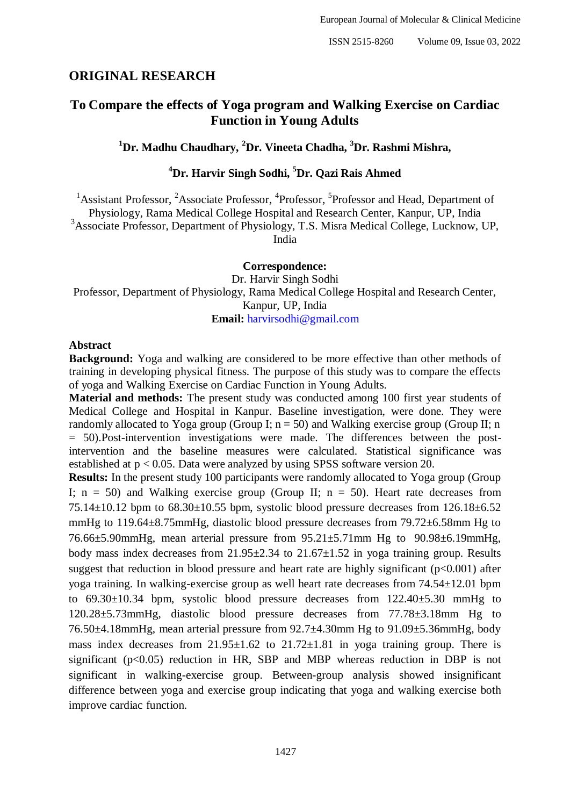# **ORIGINAL RESEARCH**

# **To Compare the effects of Yoga program and Walking Exercise on Cardiac Function in Young Adults**

# **<sup>1</sup>Dr. Madhu Chaudhary, <sup>2</sup>Dr. Vineeta Chadha, <sup>3</sup>Dr. Rashmi Mishra,**

# **<sup>4</sup>Dr. Harvir Singh Sodhi, <sup>5</sup>Dr. Qazi Rais Ahmed**

<sup>1</sup>Assistant Professor, <sup>2</sup>Associate Professor, <sup>4</sup>Professor, <sup>5</sup>Professor and Head, Department of Physiology, Rama Medical College Hospital and Research Center, Kanpur, UP, India <sup>3</sup>Associate Professor, Department of Physiology, T.S. Misra Medical College, Lucknow, UP, India

**Correspondence:**

Dr. Harvir Singh Sodhi Professor, Department of Physiology, Rama Medical College Hospital and Research Center, Kanpur, UP, India **Email:** [harvirsodhi@gmail.com](mailto:%20harvirsodhi@gmail.com)

#### **Abstract**

**Background:** Yoga and walking are considered to be more effective than other methods of training in developing physical fitness. The purpose of this study was to compare the effects of yoga and Walking Exercise on Cardiac Function in Young Adults.

**Material and methods:** The present study was conducted among 100 first year students of Medical College and Hospital in Kanpur. Baseline investigation, were done. They were randomly allocated to Yoga group (Group I;  $n = 50$ ) and Walking exercise group (Group II; n = 50).Post-intervention investigations were made. The differences between the postintervention and the baseline measures were calculated. Statistical significance was established at p < 0.05. Data were analyzed by using SPSS software version 20.

**Results:** In the present study 100 participants were randomly allocated to Yoga group (Group I;  $n = 50$ ) and Walking exercise group (Group II;  $n = 50$ ). Heart rate decreases from  $75.14\pm10.12$  bpm to  $68.30\pm10.55$  bpm, systolic blood pressure decreases from  $126.18\pm6.52$ mmHg to 119.64±8.75mmHg, diastolic blood pressure decreases from 79.72±6.58mm Hg to 76.66±5.90mmHg, mean arterial pressure from 95.21±5.71mm Hg to 90.98±6.19mmHg, body mass index decreases from  $21.95\pm2.34$  to  $21.67\pm1.52$  in yoga training group. Results suggest that reduction in blood pressure and heart rate are highly significant  $(p<0.001)$  after yoga training. In walking-exercise group as well heart rate decreases from 74.54±12.01 bpm to 69.30±10.34 bpm, systolic blood pressure decreases from 122.40±5.30 mmHg to 120.28±5.73mmHg, diastolic blood pressure decreases from 77.78±3.18mm Hg to 76.50±4.18mmHg, mean arterial pressure from 92.7±4.30mm Hg to 91.09±5.36mmHg, body mass index decreases from  $21.95 \pm 1.62$  to  $21.72 \pm 1.81$  in yoga training group. There is significant ( $p<0.05$ ) reduction in HR, SBP and MBP whereas reduction in DBP is not significant in walking-exercise group. Between-group analysis showed insignificant difference between yoga and exercise group indicating that yoga and walking exercise both improve cardiac function.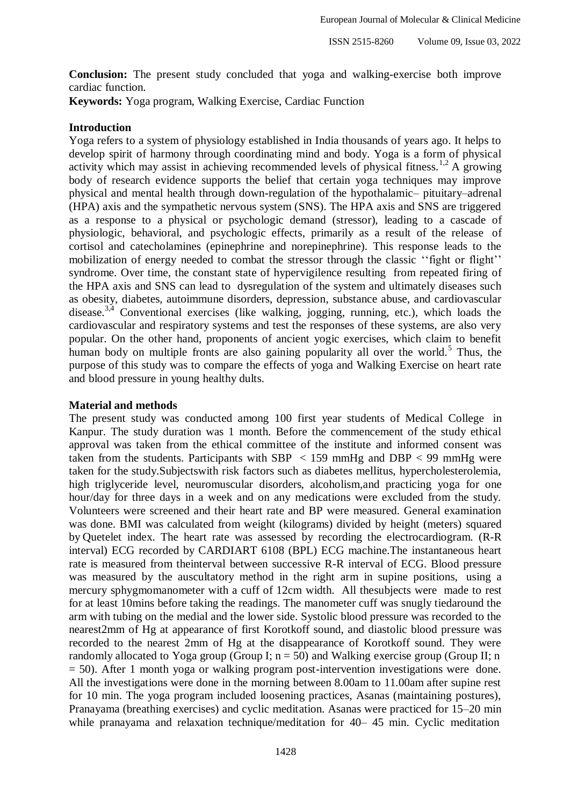**Conclusion:** The present study concluded that yoga and walking-exercise both improve cardiac function.

**Keywords:** Yoga program, Walking Exercise, Cardiac Function

### **Introduction**

Yoga refers to a system of physiology established in India thousands of years ago. It helps to develop spirit of harmony through coordinating mind and body. Yoga is a form of physical activity which may assist in achieving recommended levels of physical fitness.<sup>1,2</sup> A growing body of research evidence supports the belief that certain yoga techniques may improve physical and mental health through down-regulation of the hypothalamic– pituitary–adrenal (HPA) axis and the sympathetic nervous system (SNS). The HPA axis and SNS are triggered as a response to a physical or psychologic demand (stressor), leading to a cascade of physiologic, behavioral, and psychologic effects, primarily as a result of the release of cortisol and catecholamines (epinephrine and norepinephrine). This response leads to the mobilization of energy needed to combat the stressor through the classic ''fight or flight'' syndrome. Over time, the constant state of hypervigilence resulting from repeated firing of the HPA axis and SNS can lead to dysregulation of the system and ultimately diseases such as obesity, diabetes, autoimmune disorders, depression, substance abuse, and cardiovascular disease.3,4 Conventional exercises (like walking, jogging, running, etc.), which loads the cardiovascular and respiratory systems and test the responses of these systems, are also very popular. On the other hand, proponents of ancient yogic exercises, which claim to benefit human body on multiple fronts are also gaining popularity all over the world.<sup>5</sup> Thus, the purpose of this study was to compare the effects of yoga and Walking Exercise on heart rate and blood pressure in young healthy dults.

#### **Material and methods**

The present study was conducted among 100 first year students of Medical College in Kanpur. The study duration was 1 month. Before the commencement of the study ethical approval was taken from the ethical committee of the institute and informed consent was taken from the students. Participants with SBP  $\langle$  159 mmHg and DBP  $\langle$  99 mmHg were taken for the study.Subjectswith risk factors such as diabetes mellitus, hypercholesterolemia, high triglyceride level, neuromuscular disorders, alcoholism,and practicing yoga for one hour/day for three days in a week and on any medications were excluded from the study. Volunteers were screened and their heart rate and BP were measured. General examination was done. BMI was calculated from weight (kilograms) divided by height (meters) squared by Quetelet index. The heart rate was assessed by recording the electrocardiogram. (R-R interval) ECG recorded by CARDIART 6108 (BPL) ECG machine.The instantaneous heart rate is measured from theinterval between successive R-R interval of ECG. Blood pressure was measured by the auscultatory method in the right arm in supine positions, using a mercury sphygmomanometer with a cuff of 12cm width. All thesubjects were made to rest for at least 10mins before taking the readings. The manometer cuff was snugly tiedaround the arm with tubing on the medial and the lower side. Systolic blood pressure was recorded to the nearest2mm of Hg at appearance of first Korotkoff sound, and diastolic blood pressure was recorded to the nearest 2mm of Hg at the disappearance of Korotkoff sound. They were randomly allocated to Yoga group (Group I;  $n = 50$ ) and Walking exercise group (Group II; n = 50). After 1 month yoga or walking program post-intervention investigations were done. All the investigations were done in the morning between 8.00am to 11.00am after supine rest for 10 min. The yoga program included loosening practices, Asanas (maintaining postures), Pranayama (breathing exercises) and cyclic meditation. Asanas were practiced for 15–20 min while pranayama and relaxation technique/meditation for 40– 45 min. Cyclic meditation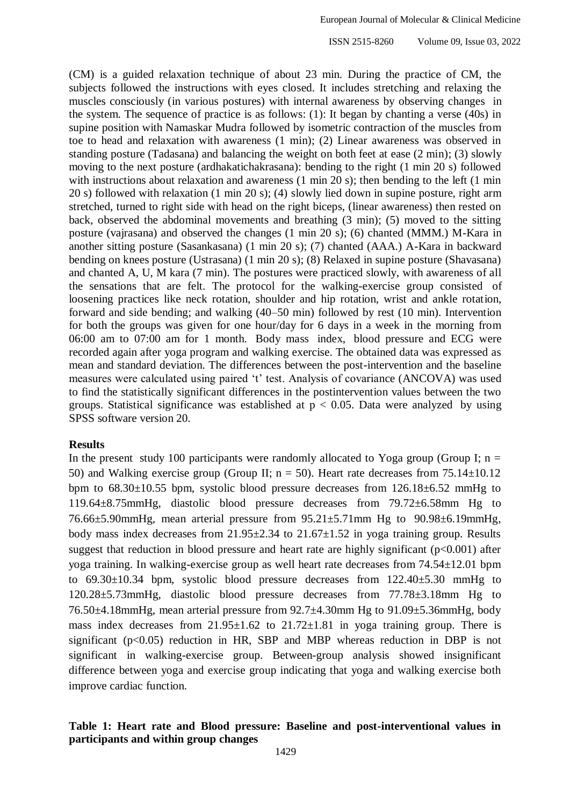ISSN 2515-8260 Volume 09, Issue 03, 2022

(CM) is a guided relaxation technique of about 23 min. During the practice of CM, the subjects followed the instructions with eyes closed. It includes stretching and relaxing the muscles consciously (in various postures) with internal awareness by observing changes in the system. The sequence of practice is as follows: (1): It began by chanting a verse (40s) in supine position with Namaskar Mudra followed by isometric contraction of the muscles from toe to head and relaxation with awareness (1 min); (2) Linear awareness was observed in standing posture (Tadasana) and balancing the weight on both feet at ease (2 min); (3) slowly moving to the next posture (ardhakatichakrasana): bending to the right (1 min 20 s) followed with instructions about relaxation and awareness (1 min 20 s); then bending to the left (1 min 20 s) followed with relaxation (1 min 20 s); (4) slowly lied down in supine posture, right arm stretched, turned to right side with head on the right biceps, (linear awareness) then rested on back, observed the abdominal movements and breathing (3 min); (5) moved to the sitting posture (vajrasana) and observed the changes (1 min 20 s); (6) chanted (MMM.) M-Kara in another sitting posture (Sasankasana) (1 min 20 s); (7) chanted (AAA.) A-Kara in backward bending on knees posture (Ustrasana) (1 min 20 s); (8) Relaxed in supine posture (Shavasana) and chanted A, U, M kara (7 min). The postures were practiced slowly, with awareness of all the sensations that are felt. The protocol for the walking-exercise group consisted of loosening practices like neck rotation, shoulder and hip rotation, wrist and ankle rotation, forward and side bending; and walking (40–50 min) followed by rest (10 min). Intervention for both the groups was given for one hour/day for 6 days in a week in the morning from 06:00 am to 07:00 am for 1 month. Body mass index, blood pressure and ECG were recorded again after yoga program and walking exercise. The obtained data was expressed as mean and standard deviation. The differences between the post-intervention and the baseline measures were calculated using paired 't' test. Analysis of covariance (ANCOVA) was used to find the statistically significant differences in the postintervention values between the two groups. Statistical significance was established at  $p < 0.05$ . Data were analyzed by using SPSS software version 20.

#### **Results**

In the present study 100 participants were randomly allocated to Yoga group (Group I;  $n =$ 50) and Walking exercise group (Group II;  $n = 50$ ). Heart rate decreases from 75.14 $\pm$ 10.12 bpm to  $68.30\pm10.55$  bpm, systolic blood pressure decreases from  $126.18\pm6.52$  mmHg to 119.64±8.75mmHg, diastolic blood pressure decreases from 79.72±6.58mm Hg to 76.66±5.90mmHg, mean arterial pressure from 95.21±5.71mm Hg to 90.98±6.19mmHg, body mass index decreases from 21.95±2.34 to 21.67±1.52 in yoga training group. Results suggest that reduction in blood pressure and heart rate are highly significant  $(p<0.001)$  after yoga training. In walking-exercise group as well heart rate decreases from 74.54±12.01 bpm to 69.30±10.34 bpm, systolic blood pressure decreases from 122.40±5.30 mmHg to 120.28±5.73mmHg, diastolic blood pressure decreases from 77.78±3.18mm Hg to 76.50±4.18mmHg, mean arterial pressure from 92.7±4.30mm Hg to 91.09±5.36mmHg, body mass index decreases from  $21.95 \pm 1.62$  to  $21.72 \pm 1.81$  in yoga training group. There is significant ( $p<0.05$ ) reduction in HR, SBP and MBP whereas reduction in DBP is not significant in walking-exercise group. Between-group analysis showed insignificant difference between yoga and exercise group indicating that yoga and walking exercise both improve cardiac function.

### **Table 1: Heart rate and Blood pressure: Baseline and post-interventional values in participants and within group changes**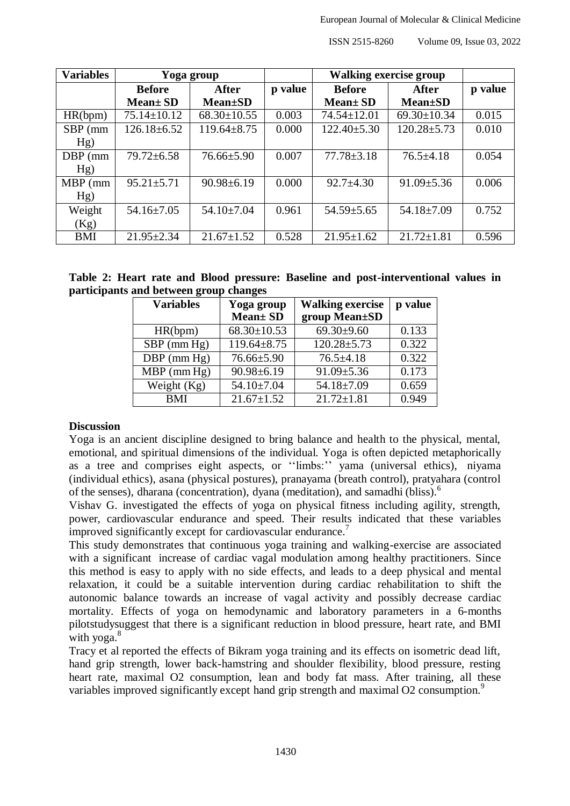| <b>Variables</b> |                   | Yoga group        |         | <b>Walking exercise group</b> |                   |         |
|------------------|-------------------|-------------------|---------|-------------------------------|-------------------|---------|
|                  | <b>Before</b>     | <b>After</b>      | p value | <b>Before</b>                 | After             | p value |
|                  | $Mean \pm SD$     | <b>Mean</b> ±SD   |         | $Mean \pm SD$                 | <b>Mean</b> ±SD   |         |
| HR(bpm)          | $75.14 \pm 10.12$ | $68.30 \pm 10.55$ | 0.003   | $74.54 \pm 12.01$             | $69.30 \pm 10.34$ | 0.015   |
| SBP (mm          | $126.18 \pm 6.52$ | $119.64 \pm 8.75$ | 0.000   | $122.40 \pm 5.30$             | $120.28 \pm 5.73$ | 0.010   |
| Hg)              |                   |                   |         |                               |                   |         |
| DBP (mm)         | $79.72 \pm 6.58$  | $76.66 \pm 5.90$  | 0.007   | $77.78 \pm 3.18$              | $76.5 \pm 4.18$   | 0.054   |
| Hg)              |                   |                   |         |                               |                   |         |
| $MBP$ (mm        | $95.21 \pm 5.71$  | $90.98 \pm 6.19$  | 0.000   | $92.7 \pm 4.30$               | $91.09 \pm 5.36$  | 0.006   |
| Hg)              |                   |                   |         |                               |                   |         |
| Weight           | $54.16 \pm 7.05$  | $54.10 \pm 7.04$  | 0.961   | $54.59 \pm 5.65$              | $54.18 \pm 7.09$  | 0.752   |
| (Kg)             |                   |                   |         |                               |                   |         |
| <b>BMI</b>       | $21.95 \pm 2.34$  | $21.67 \pm 1.52$  | 0.528   | $21.95 \pm 1.62$              | $21.72 \pm 1.81$  | 0.596   |

|                                        |  |  |  | Table 2: Heart rate and Blood pressure: Baseline and post-interventional values in |  |
|----------------------------------------|--|--|--|------------------------------------------------------------------------------------|--|
| participants and between group changes |  |  |  |                                                                                    |  |

| <b>Variables</b> | Yoga group<br><b>Mean</b> ± SD | <b>Walking exercise</b><br>group Mean±SD | p value |
|------------------|--------------------------------|------------------------------------------|---------|
| HR(bpm)          | $68.30 \pm 10.53$              | $69.30+9.60$                             | 0.133   |
| $SBP$ (mm $Hg$ ) | $119.64 \pm 8.75$              | $120.28 \pm 5.73$                        | 0.322   |
| $DBP$ (mm Hg)    | $76.66 \pm 5.90$               | $76.5 \pm 4.18$                          | 0.322   |
| $MBP$ (mm Hg)    | $90.98 \pm 6.19$               | $91.09 \pm 5.36$                         | 0.173   |
| Weight $(Kg)$    | $54.10 \pm 7.04$               | $54.18 \pm 7.09$                         | 0.659   |
| <b>BMI</b>       | $21.67 \pm 1.52$               | $21.72 \pm 1.81$                         | 0.949   |

# **Discussion**

Yoga is an ancient discipline designed to bring balance and health to the physical, mental, emotional, and spiritual dimensions of the individual. Yoga is often depicted metaphorically as a tree and comprises eight aspects, or ''limbs:'' yama (universal ethics), niyama (individual ethics), asana (physical postures), pranayama (breath control), pratyahara (control of the senses), dharana (concentration), dyana (meditation), and samadhi (bliss).<sup>6</sup>

Vishav G. investigated the effects of yoga on physical fitness including agility, strength, power, cardiovascular endurance and speed. Their results indicated that these variables improved significantly except for cardiovascular endurance.<sup>7</sup>

This study demonstrates that continuous yoga training and walking-exercise are associated with a significant increase of cardiac vagal modulation among healthy practitioners. Since this method is easy to apply with no side effects, and leads to a deep physical and mental relaxation, it could be a suitable intervention during cardiac rehabilitation to shift the autonomic balance towards an increase of vagal activity and possibly decrease cardiac mortality. Effects of yoga on hemodynamic and laboratory parameters in a 6-months pilotstudysuggest that there is a significant reduction in blood pressure, heart rate, and BMI with  $voga.<sup>8</sup>$ 

Tracy et al reported the effects of Bikram yoga training and its effects on isometric dead lift, hand grip strength, lower back-hamstring and shoulder flexibility, blood pressure, resting heart rate, maximal O2 consumption, lean and body fat mass. After training, all these variables improved significantly except hand grip strength and maximal O2 consumption.<sup>9</sup>